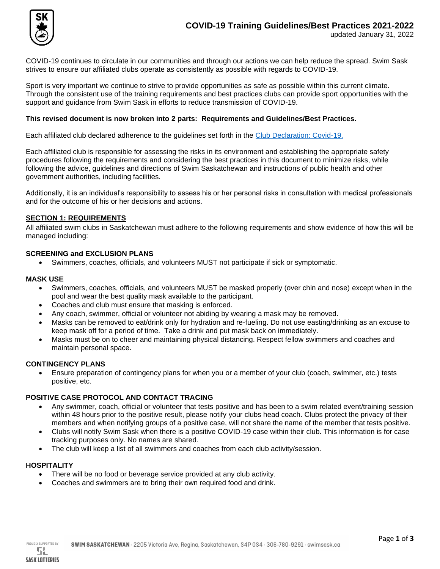

COVID-19 continues to circulate in our communities and through our actions we can help reduce the spread. Swim Sask strives to ensure our affiliated clubs operate as consistently as possible with regards to COVID-19.

Sport is very important we continue to strive to provide opportunities as safe as possible within this current climate. Through the consistent use of the training requirements and best practices clubs can provide sport opportunities with the support and guidance from Swim Sask in efforts to reduce transmission of COVID-19.

## **This revised document is now broken into 2 parts: Requirements and Guidelines/Best Practices.**

Each affiliated club declared adherence to the guidelines set forth in the [Club Declaration: Covid-19.](http://www.swimsask.ca/about-us/pdf/Club-Declaration-Covid-19.pdf) 

Each affiliated club is responsible for assessing the risks in its environment and establishing the appropriate safety procedures following the requirements and considering the best practices in this document to minimize risks, while following the advice, guidelines and directions of Swim Saskatchewan and instructions of public health and other government authorities, including facilities.

Additionally, it is an individual's responsibility to assess his or her personal risks in consultation with medical professionals and for the outcome of his or her decisions and actions.

#### **SECTION 1: REQUIREMENTS**

All affiliated swim clubs in Saskatchewan must adhere to the following requirements and show evidence of how this will be managed including:

#### **SCREENING and EXCLUSION PLANS**

• Swimmers, coaches, officials, and volunteers MUST not participate if sick or symptomatic.

#### **MASK USE**

- Swimmers, coaches, officials, and volunteers MUST be masked properly (over chin and nose) except when in the pool and wear the best quality mask available to the participant.
- Coaches and club must ensure that masking is enforced.
- Any coach, swimmer, official or volunteer not abiding by wearing a mask may be removed.
- Masks can be removed to eat/drink only for hydration and re-fueling. Do not use easting/drinking as an excuse to keep mask off for a period of time. Take a drink and put mask back on immediately.
- Masks must be on to cheer and maintaining physical distancing. Respect fellow swimmers and coaches and maintain personal space.

## **CONTINGENCY PLANS**

• Ensure preparation of contingency plans for when you or a member of your club (coach, swimmer, etc.) tests positive, etc.

#### **POSITIVE CASE PROTOCOL AND CONTACT TRACING**

- Any swimmer, coach, official or volunteer that tests positive and has been to a swim related event/training session within 48 hours prior to the positive result, please notify your clubs head coach. Clubs protect the privacy of their members and when notifying groups of a positive case, will not share the name of the member that tests positive.
- Clubs will notify Swim Sask when there is a positive COVID-19 case within their club. This information is for case tracking purposes only. No names are shared.
- The club will keep a list of all swimmers and coaches from each club activity/session.

#### **HOSPITALITY**

- There will be no food or beverage service provided at any club activity.
- Coaches and swimmers are to bring their own required food and drink.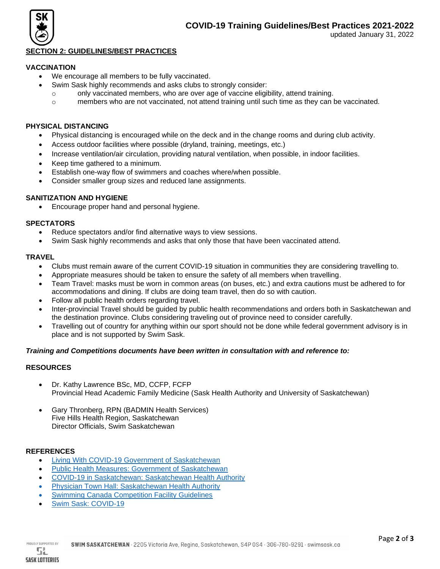

## **SECTION 2: GUIDELINES/BEST PRACTICES**

# **VACCINATION**

- We encourage all members to be fully vaccinated.
	- Swim Sask highly recommends and asks clubs to strongly consider:
		- $\circ$  only vaccinated members, who are over age of vaccine eligibility, attend training.
		- o members who are not vaccinated, not attend training until such time as they can be vaccinated.

## **PHYSICAL DISTANCING**

- Physical distancing is encouraged while on the deck and in the change rooms and during club activity.
- Access outdoor facilities where possible (dryland, training, meetings, etc.)
- Increase ventilation/air circulation, providing natural ventilation, when possible, in indoor facilities.
- Keep time gathered to a minimum.
- Establish one-way flow of swimmers and coaches where/when possible.
- Consider smaller group sizes and reduced lane assignments.

## **SANITIZATION AND HYGIENE**

• Encourage proper hand and personal hygiene.

# **SPECTATORS**

- Reduce spectators and/or find alternative ways to view sessions.
- Swim Sask highly recommends and asks that only those that have been vaccinated attend.

# **TRAVEL**

- Clubs must remain aware of the current COVID-19 situation in communities they are considering travelling to.
- Appropriate measures should be taken to ensure the safety of all members when travelling.
- Team Travel: masks must be worn in common areas (on buses, etc.) and extra cautions must be adhered to for accommodations and dining. If clubs are doing team travel, then do so with caution.
- Follow all public health orders regarding travel.
- Inter-provincial Travel should be guided by public health recommendations and orders both in Saskatchewan and the destination province. Clubs considering traveling out of province need to consider carefully.
- Travelling out of country for anything within our sport should not be done while federal government advisory is in place and is not supported by Swim Sask.

## *Training and Competitions documents have been written in consultation with and reference to:*

# **RESOURCES**

- Dr. Kathy Lawrence BSc, MD, CCFP, FCFP Provincial Head Academic Family Medicine (Sask Health Authority and University of Saskatchewan)
- Gary Thronberg, RPN (BADMIN Health Services) Five Hills Health Region, Saskatchewan Director Officials, Swim Saskatchewan

## **REFERENCES**

- [Living With COVID-19 Government of Saskatchewan](https://www.saskatchewan.ca/government/health-care-administration-and-provider-resources/treatment-procedures-and-guidelines/emerging-public-health-issues/2019-novel-coronavirus/living-with-covid-19)
- [Public Health Measures: Government of Saskatchewan](https://www.saskatchewan.ca/government/health-care-administration-and-provider-resources/treatment-procedures-and-guidelines/emerging-public-health-issues/2019-novel-coronavirus/public-health-measures)
- [COVID-19 in Saskatchewan: Saskatchewan Health Authority](https://www.saskhealthauthority.ca/your-health/conditions-diseases-services/covid-19-saskatchewan)
- **[Physician Town Hall: Saskatchewan Health Authority](https://www.saskhealthauthority.ca/intranet/medical-staff/physician-town-halls)**
- **[Swimming Canada Competition Facility Guidelines](https://www.swimming.ca/en/resources/facilities/facility-series/)**
- [Swim Sask: COVID-19](http://www.swimsask.ca/news/covid-19.html)